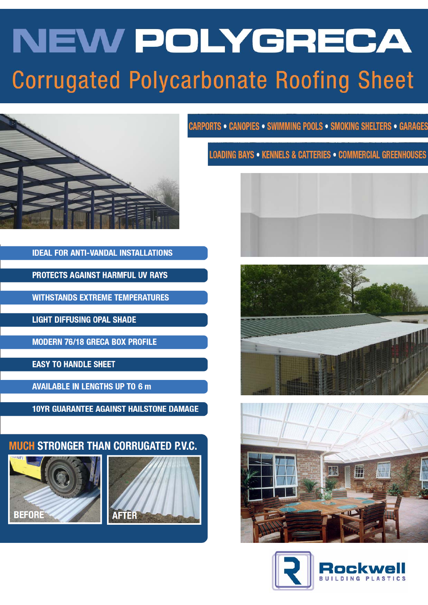# **NEW POLYGRECA Corrugated Polycarbonate Roofing Sheet**



**IDEAL FOR ANTI-VANDAL INSTALLATIONS** 

**PROTECTS AGAINST HARMFUL UV RAYS** 

**WITHSTANDS EXTREME TEMPERATURES** 

**LIGHT DIFFUSING OPAL SHADE** 

**MODERN 76/18 GRECA BOX PROFILE** 

**EASY TO HANDLE SHEET** 

**AVAILABLE IN LENGTHS UP TO 6 m** 

**10YR GUARANTEE AGAINST HAILSTONE DAMAGE** 







**CARPORTS . CANOPIES . SWIMMING POOLS . SMOKING SHELTERS . GARAGES** 

**LOADING BAYS • KENNELS & CATTERIES • COMMERCIAL GREENHOUSES** 







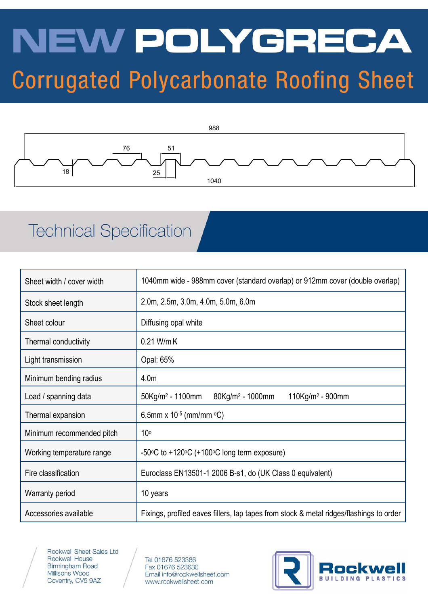## NEW POLYGRECA **Corrugated Polycarbonate Roofing Sheet**



## **Technical Specification**

| Sheet width / cover width | 1040mm wide - 988mm cover (standard overlap) or 912mm cover (double overlap)                       |  |  |
|---------------------------|----------------------------------------------------------------------------------------------------|--|--|
| Stock sheet length        | 2.0m, 2.5m, 3.0m, 4.0m, 5.0m, 6.0m                                                                 |  |  |
| Sheet colour              | Diffusing opal white                                                                               |  |  |
| Thermal conductivity      | 0.21 W/m K                                                                                         |  |  |
| Light transmission        | Opal: 65%                                                                                          |  |  |
| Minimum bending radius    | 4.0 <sub>m</sub>                                                                                   |  |  |
| Load / spanning data      | 50Kg/m <sup>2</sup> - 1100mm<br>$80$ Kg/m <sup>2</sup> - 1000mm<br>$110$ Kg/m <sup>2</sup> - 900mm |  |  |
| Thermal expansion         | 6.5mm x $10^{-5}$ (mm/mm $^{\circ}$ C)                                                             |  |  |
| Minimum recommended pitch | 10 <sup>°</sup>                                                                                    |  |  |
| Working temperature range | $-50\degree$ C to $+120\degree$ C (+100 $\degree$ C long term exposure)                            |  |  |
| Fire classification       | Euroclass EN13501-1 2006 B-s1, do (UK Class 0 equivalent)                                          |  |  |
| <b>Warranty period</b>    | 10 years                                                                                           |  |  |
| Accessories available     | Fixings, profiled eaves fillers, lap tapes from stock & metal ridges/flashings to order            |  |  |



Rockwell Sheet Sales Ltd Rockwell House **Birmingham Road** Millisons Wood Coventry, CV5 9AZ

Tel 01676 523386 Fax 01676 523630 Email info@rockwellsheet.com www.rockwellsheet.com

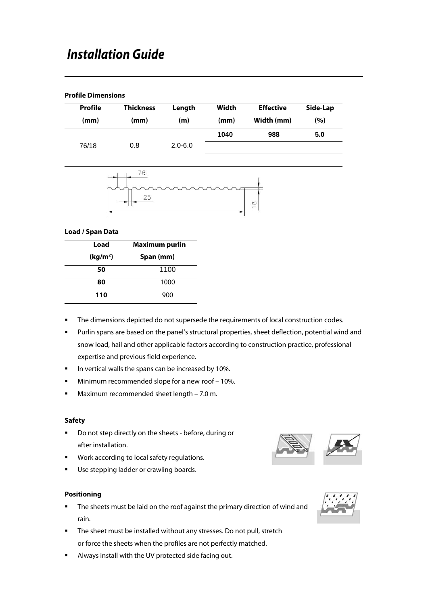#### **Profile Dimensions**

| Profile | <b>Thickness</b> | Length      | Width | <b>Effective</b> | Side-Lap |
|---------|------------------|-------------|-------|------------------|----------|
| (mm)    | (mm)             | (m)         | (mm)  | Width (mm)       | (%)      |
|         |                  |             | 1040  | 988              | 5.0      |
| 76/18   | 0.8              | $2.0 - 6.0$ |       |                  |          |



#### **Load / Span Data**

| Load                 | <b>Maximum purlin</b> |  |  |
|----------------------|-----------------------|--|--|
| (kg/m <sup>2</sup> ) | Span (mm)             |  |  |
| 50                   | 1100                  |  |  |
| 80                   | 1000                  |  |  |
| 110                  | 900                   |  |  |

- The dimensions depicted do not supersede the requirements of local construction codes.
- Purlin spans are based on the panel's structural properties, sheet deflection, potential wind and snow load, hail and other applicable factors according to construction practice, professional expertise and previous field experience.
- In vertical walls the spans can be increased by 10%.
- **Minimum recommended slope for a new roof 10%.**
- Maximum recommended sheet length 7.0 m.

#### **Safety**

- Do not step directly on the sheets before, during or after installation.
- **Work according to local safety regulations.**
- **Use stepping ladder or crawling boards.**

#### **Positioning**

- The sheets must be laid on the roof against the primary direction of wind and rain.
- The sheet must be installed without any stresses. Do not pull, stretch or force the sheets when the profiles are not perfectly matched.
- Always install with the UV protected side facing out.



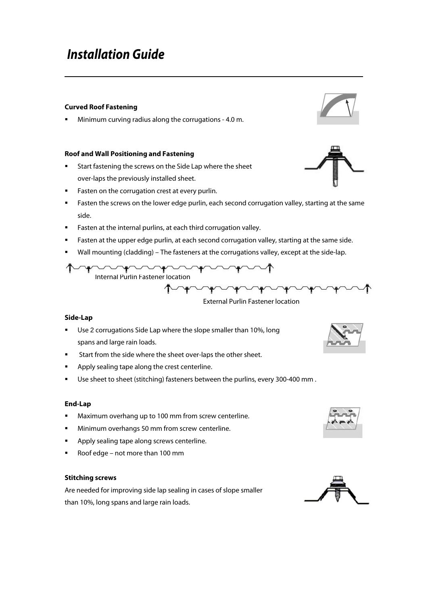#### **Curved Roof Fastening**

Minimum curving radius along the corrugations - 4.0 m.

#### **Roof and Wall Positioning and Fastening**

- Start fastening the screws on the Side Lap where the sheet over-laps the previously installed sheet.
- **Fasten on the corrugation crest at every purlin.**
- **Fasten the screws on the lower edge purlin, each second corrugation valley, starting at the same** side.
- **Fasten at the internal purlins, at each third corrugation valley.**
- **Fasten at the upper edge purlin, at each second corrugation valley, starting at the same side.**
- Wall mounting (cladding) The fasteners at the corrugations valley, except at the side-lap.



External Purlin Fastener location

#### **Side-Lap**

- Use 2 corrugations Side Lap where the slope smaller than 10%, long spans and large rain loads.
- Start from the side where the sheet over-laps the other sheet.
- **Apply sealing tape along the crest centerline.**
- **Use sheet to sheet (stitching) fasteners between the purlins, every 300-400 mm.**

#### **End-Lap**

- **Maximum overhang up to 100 mm from screw centerline.**
- **Minimum overhangs 50 mm from screw centerline.**
- **Apply sealing tape along screws centerline.**
- Roof edge not more than 100 mm

#### **Stitching screws**

Are needed for improving side lap sealing in cases of slope smaller than 10%, long spans and large rain loads.







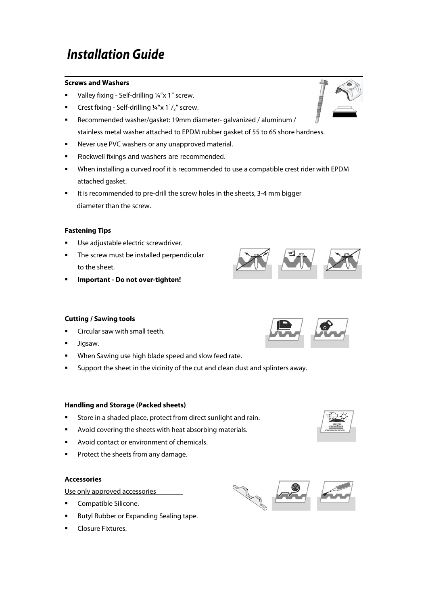#### **Screws and Washers**

- Valley fixing Self-drilling ¼"x 1" screw.
- **•** Crest fixing Self-drilling  $\frac{1}{4}x$  at  $1\frac{1}{2}x$  screw.
- Recommended washer/gasket: 19mm diameter- galvanized / aluminum / stainless metal washer attached to EPDM rubber gasket of 55 to 65 shore hardness.
- **Never use PVC washers or any unapproved material.**
- Rockwell fixings and washers are recommended.
- When installing a curved roof it is recommended to use a compatible crest rider with EPDM attached gasket.
- It is recommended to pre-drill the screw holes in the sheets, 3-4 mm bigger diameter than the screw.

#### **Fastening Tips**

- **Use adjustable electric screwdriver.**
- **The screw must be installed perpendicular** to the sheet.
- **Important Do not over-tighten!**

#### **Cutting / Sawing tools**

- Circular saw with small teeth.
- **Jigsaw.**
- **When Sawing use high blade speed and slow feed rate.**
- **Support the sheet in the vicinity of the cut and clean dust and splinters away.**

#### **Handling and Storage (Packed sheets)**

- Store in a shaded place, protect from direct sunlight and rain.
- Avoid covering the sheets with heat absorbing materials.
- **Avoid contact or environment of chemicals.**
- **Protect the sheets from any damage.**

#### **Accessories**

Use only approved accessories

- **Compatible Silicone.**
- Butyl Rubber or Expanding Sealing tape.
- Closure Fixtures.